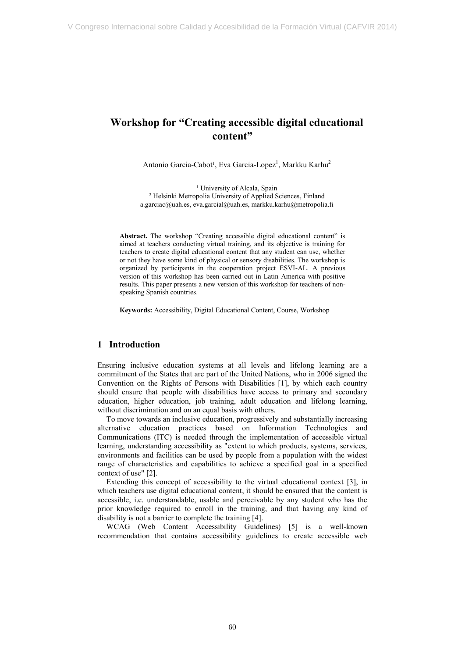# **Workshop for "Creating accessible digital educational content"**

Antonio Garcia-Cabot<sup>1</sup>, Eva Garcia-Lopez<sup>1</sup>, Markku Karhu<sup>2</sup>

<sup>1</sup> University of Alcala, Spain 2 Helsinki Metropolia University of Applied Sciences, Finland a.garciac@uah.es, eva.garcial@uah.es, markku.karhu@metropolia.fi

 **Abstract.** The workshop "Creating accessible digital educational content" is aimed at teachers conducting virtual training, and its objective is training for teachers to create digital educational content that any student can use, whether or not they have some kind of physical or sensory disabilities. The workshop is organized by participants in the cooperation project ESVI-AL. A previous version of this workshop has been carried out in Latin America with positive results. This paper presents a new version of this workshop for teachers of non-speaking Spanish countries.

**Keywords:** Accessibility, Digital Educational Content, Course, Workshop

#### **1 Introduction**

 Ensuring inclusive education systems at all levels and lifelong learning are a commitment of the States that are part of the United Nations, who in 2006 signed the Convention on the Rights of Persons with Disabilities [1], by which each country should ensure that people with disabilities have access to primary and secondary education, higher education, job training, adult education and lifelong learning, without discrimination and on an equal basis with others.

 To move towards an inclusive education, progressively and substantially increasing alternative education practices based on Information Technologies and Communications (ITC) is needed through the implementation of accessible virtual learning, understanding accessibility as "extent to which products, systems, services, environments and facilities can be used by people from a population with the widest range of characteristics and capabilities to achieve a specified goal in a specified context of use" [2].

 Extending this concept of accessibility to the virtual educational context [3], in which teachers use digital educational content, it should be ensured that the content is accessible, i.e. understandable, usable and perceivable by any student who has the prior knowledge required to enroll in the training, and that having any kind of disability is not a barrier to complete the training [4].

 WCAG (Web Content Accessibility Guidelines) [5] is a well-known recommendation that contains accessibility guidelines to create accessible web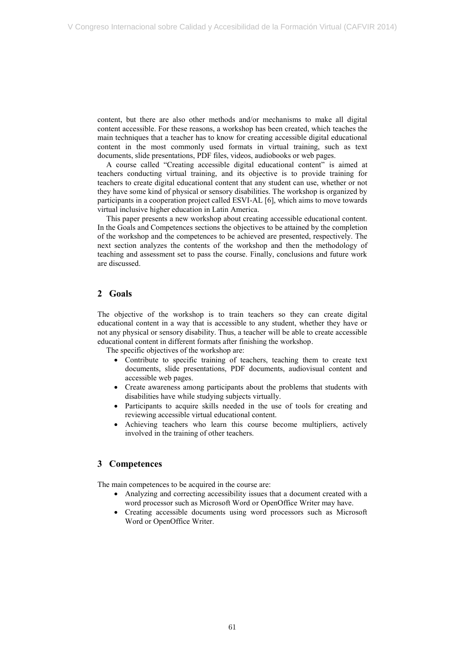content, but there are also other methods and/or mechanisms to make all digital content accessible. For these reasons, a workshop has been created, which teaches the main techniques that a teacher has to know for creating accessible digital educational content in the most commonly used formats in virtual training, such as text documents, slide presentations, PDF files, videos, audiobooks or web pages.

 A course called "Creating accessible digital educational content" is aimed at teachers conducting virtual training, and its objective is to provide training for teachers to create digital educational content that any student can use, whether or not they have some kind of physical or sensory disabilities. The workshop is organized by participants in a cooperation project called ESVI-AL [6], which aims to move towards virtual inclusive higher education in Latin America.

 This paper presents a new workshop about creating accessible educational content. In the Goals and Competences sections the objectives to be attained by the completion of the workshop and the competences to be achieved are presented, respectively. The next section analyzes the contents of the workshop and then the methodology of teaching and assessment set to pass the course. Finally, conclusions and future work are discussed.

#### **2 Goals**

 The objective of the workshop is to train teachers so they can create digital educational content in a way that is accessible to any student, whether they have or not any physical or sensory disability. Thus, a teacher will be able to create accessible educational content in different formats after finishing the workshop.

The specific objectives of the workshop are:

- Contribute to specific training of teachers, teaching them to create text accessible web pages. documents, slide presentations, PDF documents, audiovisual content and
- Create awareness among participants about the problems that students with disabilities have while studying subjects virtually.
- Participants to acquire skills needed in the use of tools for creating and reviewing accessible virtual educational content.
- Achieving teachers who learn this course become multipliers, actively involved in the training of other teachers.

#### **3 Competences**

The main competences to be acquired in the course are:

- Analyzing and correcting accessibility issues that a document created with a word processor such as Microsoft Word or OpenOffice Writer may have.
- Creating accessible documents using word processors such as Microsoft Word or OpenOffice Writer.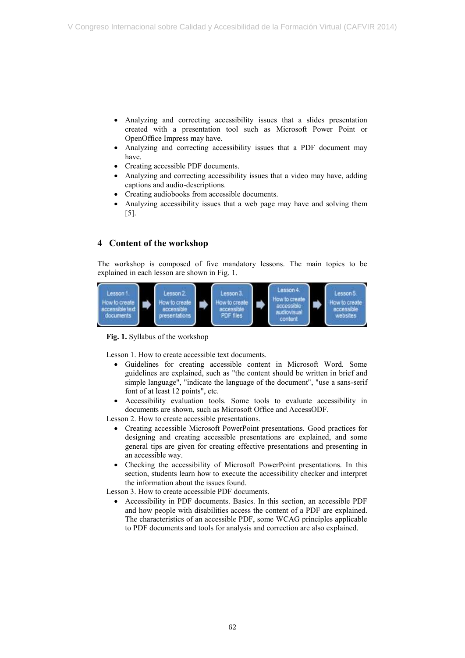- Analyzing and correcting accessibility issues that a slides presentation created with a presentation tool such as Microsoft Power Point or OpenOffice Impress may have.
- Analyzing and correcting accessibility issues that a PDF document may have.
- Creating accessible PDF documents.
- Analyzing and correcting accessibility issues that a video may have, adding captions and audio-descriptions.
- Creating audiobooks from accessible documents.
- Analyzing accessibility issues that a web page may have and solving them [5].

## **4 Content of the workshop**

 The workshop is composed of five mandatory lessons. The main topics to be explained in each lesson are shown in Fig. 1.



**Fig. 1.** Syllabus of the workshop

Lesson 1. How to create accessible text documents.

- Guidelines for creating accessible content in Microsoft Word. Some guidelines are explained, such as "the content should be written in brief and simple language", "indicate the language of the document", "use a sans-serif font of at least 12 points", etc.
- Accessibility evaluation tools. Some tools to evaluate accessibility in documents are shown, such as Microsoft Office and AccessODF.

Lesson 2. How to create accessible presentations.

- Creating accessible Microsoft PowerPoint presentations. Good practices for designing and creating accessible presentations are explained, and some general tips are given for creating effective presentations and presenting in an accessible way.
- Checking the accessibility of Microsoft PowerPoint presentations. In this section, students learn how to execute the accessibility checker and interpret the information about the issues found.

Lesson 3. How to create accessible PDF documents.

 Accessibility in PDF documents. Basics. In this section, an accessible PDF and how people with disabilities access the content of a PDF are explained. The characteristics of an accessible PDF, some WCAG principles applicable to PDF documents and tools for analysis and correction are also explained.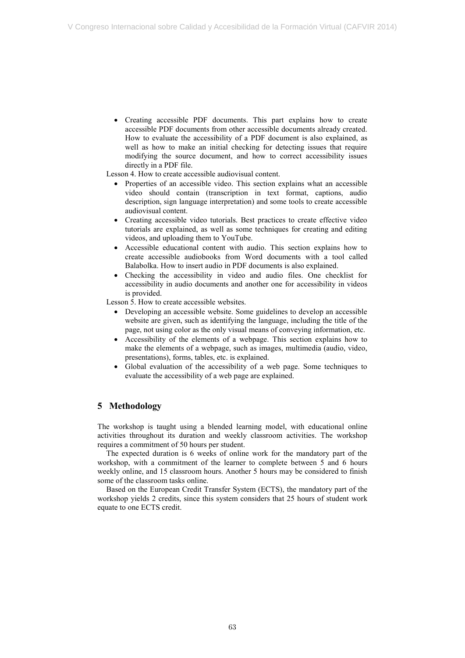Creating accessible PDF documents. This part explains how to create accessible PDF documents from other accessible documents already created. How to evaluate the accessibility of a PDF document is also explained, as well as how to make an initial checking for detecting issues that require modifying the source document, and how to correct accessibility issues directly in a PDF file.

Lesson 4. How to create accessible audiovisual content.

- Properties of an accessible video. This section explains what an accessible video should contain (transcription in text format, captions, audio description, sign language interpretation) and some tools to create accessible audiovisual content.
- Creating accessible video tutorials. Best practices to create effective video tutorials are explained, as well as some techniques for creating and editing videos, and uploading them to YouTube.
- Accessible educational content with audio. This section explains how to create accessible audiobooks from Word documents with a tool called Balabolka. How to insert audio in PDF documents is also explained.
- Checking the accessibility in video and audio files. One checklist for accessibility in audio documents and another one for accessibility in videos is provided.

Lesson 5. How to create accessible websites.

- Developing an accessible website. Some guidelines to develop an accessible website are given, such as identifying the language, including the title of the page, not using color as the only visual means of conveying information, etc.
- Accessibility of the elements of a webpage. This section explains how to make the elements of a webpage, such as images, multimedia (audio, video, presentations), forms, tables, etc. is explained.
- Global evaluation of the accessibility of a web page. Some techniques to evaluate the accessibility of a web page are explained.

### **5 Methodology**

 The workshop is taught using a blended learning model, with educational online activities throughout its duration and weekly classroom activities. The workshop requires a commitment of 50 hours per student.

 The expected duration is 6 weeks of online work for the mandatory part of the workshop, with a commitment of the learner to complete between 5 and 6 hours weekly online, and 15 classroom hours. Another 5 hours may be considered to finish some of the classroom tasks online.

 Based on the European Credit Transfer System (ECTS), the mandatory part of the workshop yields 2 credits, since this system considers that 25 hours of student work equate to one ECTS credit.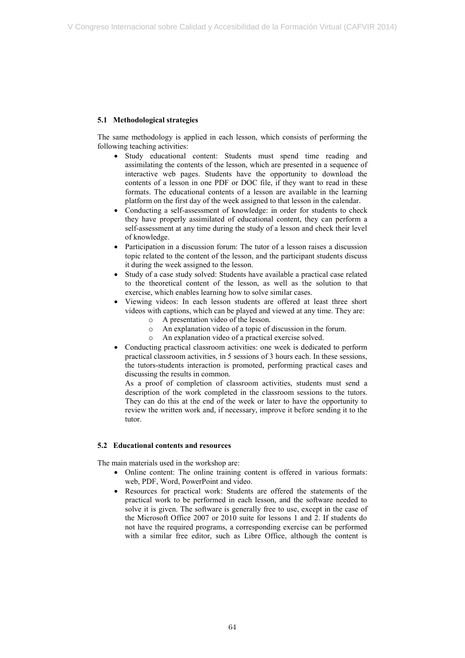#### **5.1 Methodological strategies**

 The same methodology is applied in each lesson, which consists of performing the following teaching activities:

- Study educational content: Students must spend time reading and assimilating the contents of the lesson, which are presented in a sequence of interactive web pages. Students have the opportunity to download the contents of a lesson in one PDF or DOC file, if they want to read in these formats. The educational contents of a lesson are available in the learning platform on the first day of the week assigned to that lesson in the calendar.
- Conducting a self-assessment of knowledge: in order for students to check they have properly assimilated of educational content, they can perform a self-assessment at any time during the study of a lesson and check their level of knowledge.
- Participation in a discussion forum: The tutor of a lesson raises a discussion topic related to the content of the lesson, and the participant students discuss it during the week assigned to the lesson.
- Study of a case study solved: Students have available a practical case related to the theoretical content of the lesson, as well as the solution to that exercise, which enables learning how to solve similar cases.
- Viewing videos: In each lesson students are offered at least three short videos with captions, which can be played and viewed at any time. They are:
	- o A presentation video of the lesson.
	- o An explanation video of a topic of discussion in the forum.
	- o An explanation video of a practical exercise solved.
- Conducting practical classroom activities: one week is dedicated to perform practical classroom activities, in 5 sessions of 3 hours each. In these sessions, the tutors-students interaction is promoted, performing practical cases and discussing the results in common.

 As a proof of completion of classroom activities, students must send a description of the work completed in the classroom sessions to the tutors. They can do this at the end of the week or later to have the opportunity to review the written work and, if necessary, improve it before sending it to the tutor.

#### **5.2 Educational contents and resources**

The main materials used in the workshop are:

- Online content: The online training content is offered in various formats: web, PDF, Word, PowerPoint and video.
- Resources for practical work: Students are offered the statements of the practical work to be performed in each lesson, and the software needed to solve it is given. The software is generally free to use, except in the case of the Microsoft Office 2007 or 2010 suite for lessons 1 and 2. If students do not have the required programs, a corresponding exercise can be performed with a similar free editor, such as Libre Office, although the content is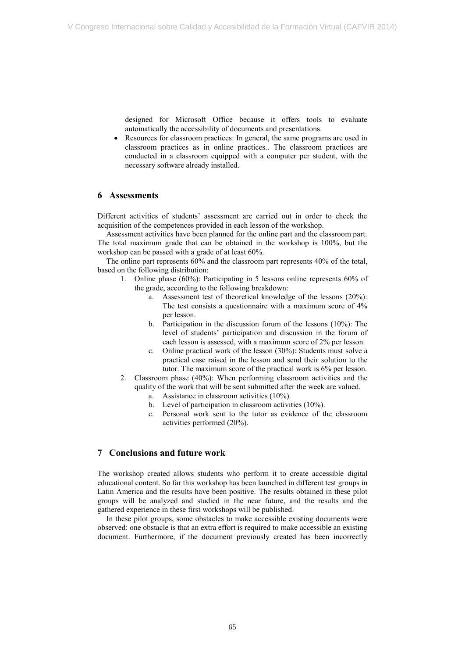designed for Microsoft Office because it offers tools to evaluate automatically the accessibility of documents and presentations.

 Resources for classroom practices: In general, the same programs are used in classroom practices as in online practices.. The classroom practices are conducted in a classroom equipped with a computer per student, with the necessary software already installed.

#### **6 Assessments**

 Different activities of students' assessment are carried out in order to check the acquisition of the competences provided in each lesson of the workshop.

 Assessment activities have been planned for the online part and the classroom part. The total maximum grade that can be obtained in the workshop is 100%, but the workshop can be passed with a grade of at least 60%.

 The online part represents 60% and the classroom part represents 40% of the total, based on the following distribution:

- 1. Online phase (60%): Participating in 5 lessons online represents 60% of the grade, according to the following breakdown:
	- a. Assessment test of theoretical knowledge of the lessons (20%): The test consists a questionnaire with a maximum score of 4% per lesson.
	- b. Participation in the discussion forum of the lessons (10%): The level of students' participation and discussion in the forum of each lesson is assessed, with a maximum score of 2% per lesson.
	- c. Online practical work of the lesson (30%): Students must solve a practical case raised in the lesson and send their solution to the tutor. The maximum score of the practical work is 6% per lesson.
- 2. Classroom phase (40%): When performing classroom activities and the quality of the work that will be sent submitted after the week are valued.
	- a. Assistance in classroom activities  $(10\%)$ .
	- b. Level of participation in classroom activities (10%).
	- c. Personal work sent to the tutor as evidence of the classroom activities performed (20%).

#### **7 Conclusions and future work**

 The workshop created allows students who perform it to create accessible digital educational content. So far this workshop has been launched in different test groups in Latin America and the results have been positive. The results obtained in these pilot groups will be analyzed and studied in the near future, and the results and the gathered experience in these first workshops will be published.

 In these pilot groups, some obstacles to make accessible existing documents were observed: one obstacle is that an extra effort is required to make accessible an existing document. Furthermore, if the document previously created has been incorrectly